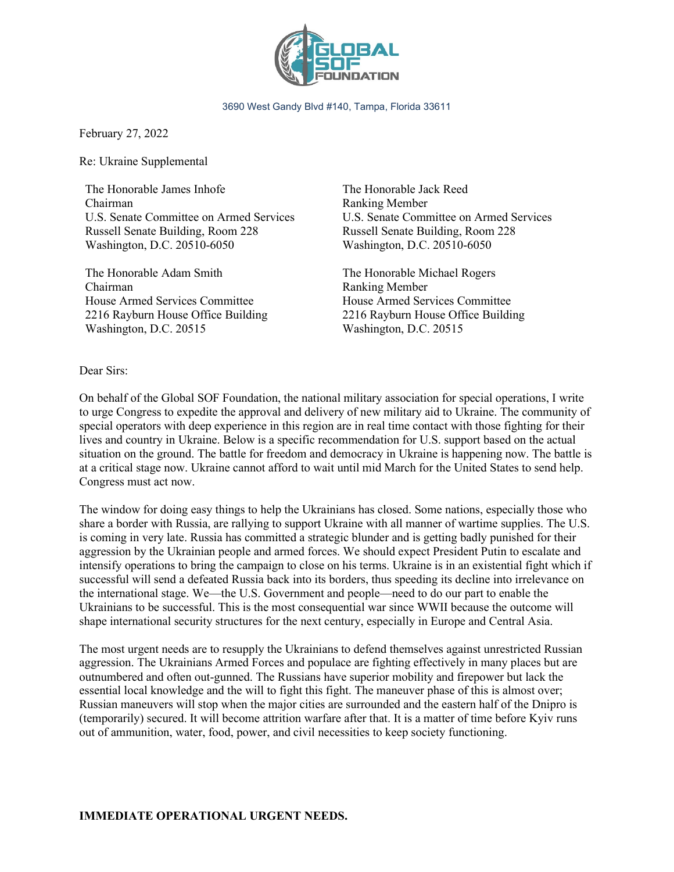

3690 West Gandy Blvd #140, Tampa, Florida 33611

February 27, 2022

Re: Ukraine Supplemental

The Honorable James Inhofe Chairman U.S. Senate Committee on Armed Services Russell Senate Building, Room 228 Washington, D.C. 20510-6050

The Honorable Adam Smith Chairman House Armed Services Committee 2216 Rayburn House Office Building Washington, D.C. 20515

The Honorable Jack Reed Ranking Member U.S. Senate Committee on Armed Services Russell Senate Building, Room 228 Washington, D.C. 20510-6050

The Honorable Michael Rogers Ranking Member House Armed Services Committee 2216 Rayburn House Office Building Washington, D.C. 20515

Dear Sirs:

On behalf of the Global SOF Foundation, the national military association for special operations, I write to urge Congress to expedite the approval and delivery of new military aid to Ukraine. The community of special operators with deep experience in this region are in real time contact with those fighting for their lives and country in Ukraine. Below is a specific recommendation for U.S. support based on the actual situation on the ground. The battle for freedom and democracy in Ukraine is happening now. The battle is at a critical stage now. Ukraine cannot afford to wait until mid March for the United States to send help. Congress must act now.

The window for doing easy things to help the Ukrainians has closed. Some nations, especially those who share a border with Russia, are rallying to support Ukraine with all manner of wartime supplies. The U.S. is coming in very late. Russia has committed a strategic blunder and is getting badly punished for their aggression by the Ukrainian people and armed forces. We should expect President Putin to escalate and intensify operations to bring the campaign to close on his terms. Ukraine is in an existential fight which if successful will send a defeated Russia back into its borders, thus speeding its decline into irrelevance on the international stage. We—the U.S. Government and people—need to do our part to enable the Ukrainians to be successful. This is the most consequential war since WWII because the outcome will shape international security structures for the next century, especially in Europe and Central Asia.

The most urgent needs are to resupply the Ukrainians to defend themselves against unrestricted Russian aggression. The Ukrainians Armed Forces and populace are fighting effectively in many places but are outnumbered and often out-gunned. The Russians have superior mobility and firepower but lack the essential local knowledge and the will to fight this fight. The maneuver phase of this is almost over; Russian maneuvers will stop when the major cities are surrounded and the eastern half of the Dnipro is (temporarily) secured. It will become attrition warfare after that. It is a matter of time before Kyiv runs out of ammunition, water, food, power, and civil necessities to keep society functioning.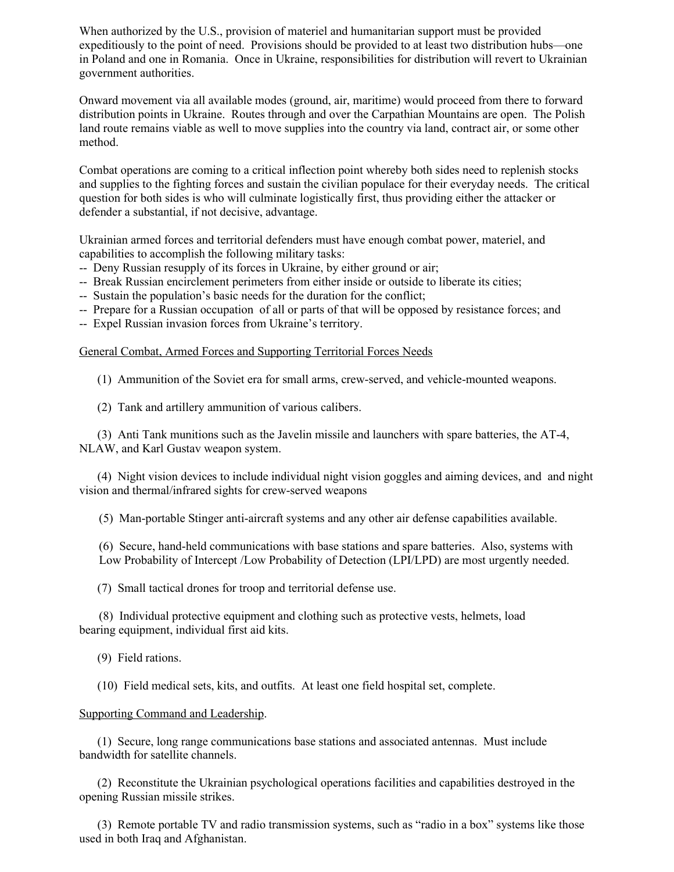When authorized by the U.S., provision of materiel and humanitarian support must be provided expeditiously to the point of need. Provisions should be provided to at least two distribution hubs—one in Poland and one in Romania. Once in Ukraine, responsibilities for distribution will revert to Ukrainian government authorities.

Onward movement via all available modes (ground, air, maritime) would proceed from there to forward distribution points in Ukraine. Routes through and over the Carpathian Mountains are open. The Polish land route remains viable as well to move supplies into the country via land, contract air, or some other method.

Combat operations are coming to a critical inflection point whereby both sides need to replenish stocks and supplies to the fighting forces and sustain the civilian populace for their everyday needs. The critical question for both sides is who will culminate logistically first, thus providing either the attacker or defender a substantial, if not decisive, advantage.

Ukrainian armed forces and territorial defenders must have enough combat power, materiel, and capabilities to accomplish the following military tasks:

- -- Deny Russian resupply of its forces in Ukraine, by either ground or air;
- -- Break Russian encirclement perimeters from either inside or outside to liberate its cities;
- -- Sustain the population's basic needs for the duration for the conflict;
- -- Prepare for a Russian occupation of all or parts of that will be opposed by resistance forces; and
- -- Expel Russian invasion forces from Ukraine's territory.

General Combat, Armed Forces and Supporting Territorial Forces Needs

(1) Ammunition of the Soviet era for small arms, crew-served, and vehicle-mounted weapons.

(2) Tank and artillery ammunition of various calibers.

 (3) Anti Tank munitions such as the Javelin missile and launchers with spare batteries, the AT-4, NLAW, and Karl Gustav weapon system.

 (4) Night vision devices to include individual night vision goggles and aiming devices, and and night vision and thermal/infrared sights for crew-served weapons

(5) Man-portable Stinger anti-aircraft systems and any other air defense capabilities available.

(6) Secure, hand-held communications with base stations and spare batteries. Also, systems with Low Probability of Intercept /Low Probability of Detection (LPI/LPD) are most urgently needed.

(7) Small tactical drones for troop and territorial defense use.

(8) Individual protective equipment and clothing such as protective vests, helmets, load bearing equipment, individual first aid kits.

(9) Field rations.

(10) Field medical sets, kits, and outfits. At least one field hospital set, complete.

## Supporting Command and Leadership.

 (1) Secure, long range communications base stations and associated antennas. Must include bandwidth for satellite channels.

 (2) Reconstitute the Ukrainian psychological operations facilities and capabilities destroyed in the opening Russian missile strikes.

 (3) Remote portable TV and radio transmission systems, such as "radio in a box" systems like those used in both Iraq and Afghanistan.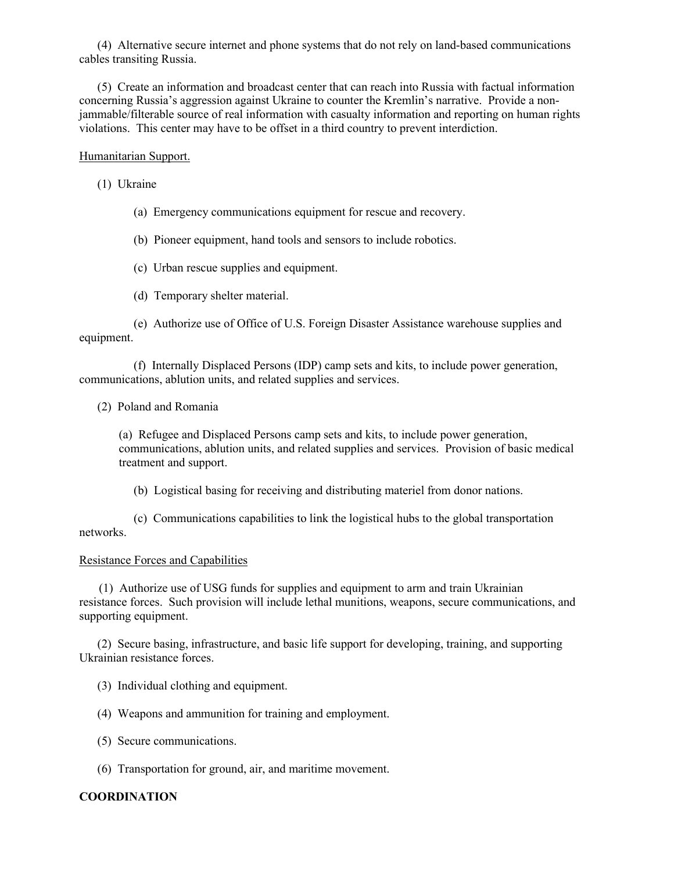(4) Alternative secure internet and phone systems that do not rely on land-based communications cables transiting Russia.

 (5) Create an information and broadcast center that can reach into Russia with factual information concerning Russia's aggression against Ukraine to counter the Kremlin's narrative. Provide a nonjammable/filterable source of real information with casualty information and reporting on human rights violations. This center may have to be offset in a third country to prevent interdiction.

## Humanitarian Support.

(1) Ukraine

- (a) Emergency communications equipment for rescue and recovery.
- (b) Pioneer equipment, hand tools and sensors to include robotics.
- (c) Urban rescue supplies and equipment.
- (d) Temporary shelter material.

 (e) Authorize use of Office of U.S. Foreign Disaster Assistance warehouse supplies and equipment.

 (f) Internally Displaced Persons (IDP) camp sets and kits, to include power generation, communications, ablution units, and related supplies and services.

(2) Poland and Romania

(a) Refugee and Displaced Persons camp sets and kits, to include power generation, communications, ablution units, and related supplies and services. Provision of basic medical treatment and support.

(b) Logistical basing for receiving and distributing materiel from donor nations.

 (c) Communications capabilities to link the logistical hubs to the global transportation networks.

## Resistance Forces and Capabilities

(1) Authorize use of USG funds for supplies and equipment to arm and train Ukrainian resistance forces. Such provision will include lethal munitions, weapons, secure communications, and supporting equipment.

 (2) Secure basing, infrastructure, and basic life support for developing, training, and supporting Ukrainian resistance forces.

- (3) Individual clothing and equipment.
- (4) Weapons and ammunition for training and employment.
- (5) Secure communications.
- (6) Transportation for ground, air, and maritime movement.

## **COORDINATION**